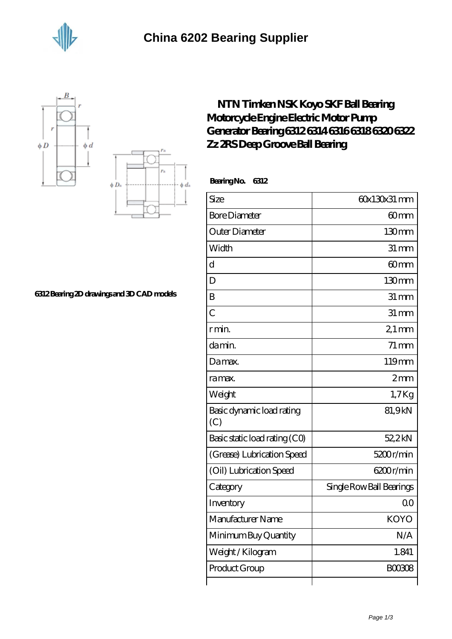





## **[6312 Bearing 2D drawings and 3D CAD models](https://jonathanandsylvia.com/pic-638487.html)**

## **[NTN Timken NSK Koyo SKF Ball Bearing](https://jonathanandsylvia.com/skf-6316-bearing/638487.html) [Motorcycle Engine Electric Motor Pump](https://jonathanandsylvia.com/skf-6316-bearing/638487.html) [Generator Bearing 6312 6314 6316 6318 6320 6322](https://jonathanandsylvia.com/skf-6316-bearing/638487.html) [Zz 2RS Deep Groove Ball Bearing](https://jonathanandsylvia.com/skf-6316-bearing/638487.html)**

 **Bearing No. 6312**

| Size                             | 60x130x31 mm             |
|----------------------------------|--------------------------|
| <b>Bore Diameter</b>             | 60 <sub>mm</sub>         |
| Outer Diameter                   | 130mm                    |
| Width                            | $31 \, \text{mm}$        |
| $\mathbf d$                      | 60mm                     |
| D                                | 130mm                    |
| B                                | $31 \, \text{mm}$        |
| $\overline{C}$                   | $31 \, \text{mm}$        |
| r min.                           | $21$ mm                  |
| da min.                          | $71 \,\mathrm{mm}$       |
| Damax.                           | 119mm                    |
| ra max.                          | 2mm                      |
| Weight                           | $1,7$ Kg                 |
| Basic dynamic load rating<br>(C) | 81,9kN                   |
| Basic static load rating (CO)    | 52,2kN                   |
| (Grease) Lubrication Speed       | 5200r/min                |
| (Oil) Lubrication Speed          | 6200r/min                |
| Category                         | Single Row Ball Bearings |
| Inventory                        | 0 <sub>0</sub>           |
| Manufacturer Name                | <b>KOYO</b>              |
| Minimum Buy Quantity             | N/A                      |
| Weight/Kilogram                  | 1.841                    |
| Product Group                    | <b>BOO3O8</b>            |
|                                  |                          |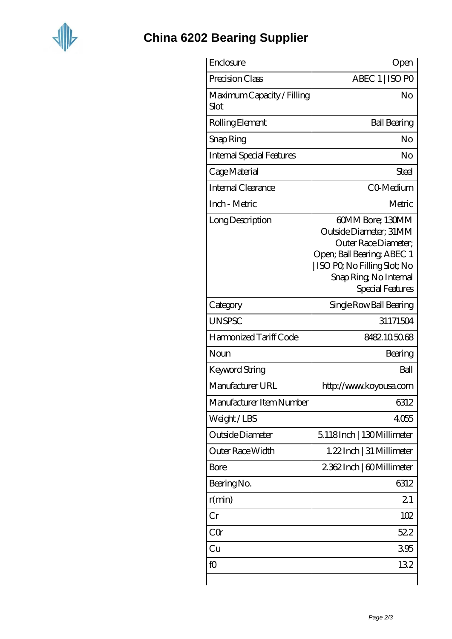

## **[China 6202 Bearing Supplier](https://jonathanandsylvia.com)**

| Enclosure                          | Open                                                                                                                                                                         |
|------------------------------------|------------------------------------------------------------------------------------------------------------------------------------------------------------------------------|
| Precision Class                    | ABEC 1   ISO PO                                                                                                                                                              |
| Maximum Capacity / Filling<br>Slot | No                                                                                                                                                                           |
| Rolling Element                    | <b>Ball Bearing</b>                                                                                                                                                          |
| Snap Ring                          | No                                                                                                                                                                           |
| Internal Special Features          | No                                                                                                                                                                           |
| Cage Material                      | Steel                                                                                                                                                                        |
| Internal Clearance                 | CO-Medium                                                                                                                                                                    |
| Inch - Metric                      | Metric                                                                                                                                                                       |
| Long Description                   | 60MM Bore; 130MM<br>Outside Diameter; 31MM<br>Outer Race Diameter;<br>Open; Ball Bearing; ABEC 1<br>ISO PQ No Filling Slot; No<br>Snap Ring, No Internal<br>Special Features |
| Category                           | Single Row Ball Bearing                                                                                                                                                      |
| <b>UNSPSC</b>                      | 31171504                                                                                                                                                                     |
| Harmonized Tariff Code             | 8482105068                                                                                                                                                                   |
| Noun                               | Bearing                                                                                                                                                                      |
| Keyword String                     | Ball                                                                                                                                                                         |
| Manufacturer URL                   | http://www.koyousa.com                                                                                                                                                       |
| Manufacturer Item Number           | 6312                                                                                                                                                                         |
| Weight/LBS                         | 4055                                                                                                                                                                         |
| Outside Diameter                   | 5.118Inch   130Millimeter                                                                                                                                                    |
| Outer Race Width                   | 1.22 Inch   31 Millimeter                                                                                                                                                    |
| Bore                               | 2362Inch   60Millimeter                                                                                                                                                      |
| Bearing No.                        | 6312                                                                                                                                                                         |
| r(min)                             | 21                                                                                                                                                                           |
| Cr                                 | 102                                                                                                                                                                          |
| CQr                                | 522                                                                                                                                                                          |
| Cu                                 | 395                                                                                                                                                                          |
| fO                                 | 132                                                                                                                                                                          |
|                                    |                                                                                                                                                                              |